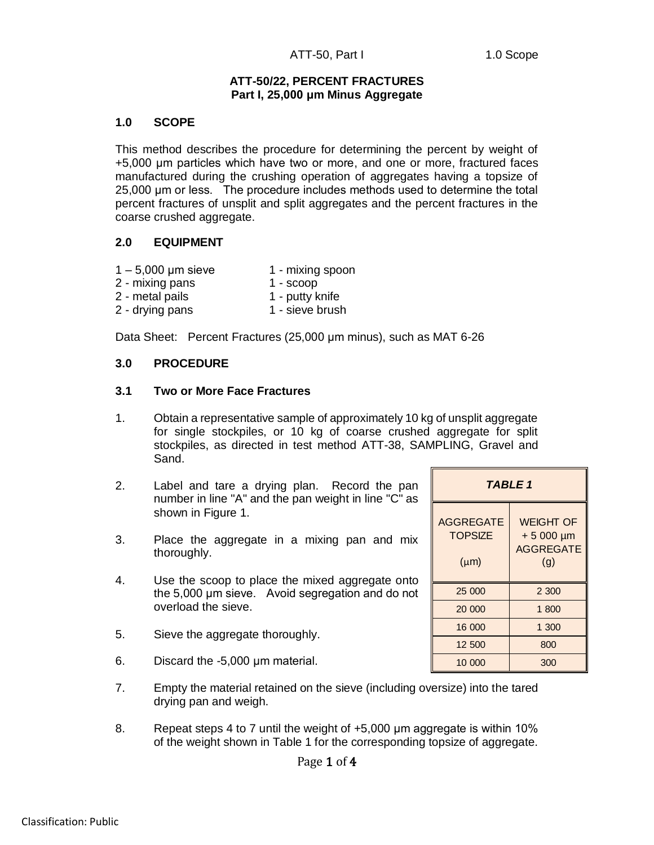### **ATT-50/22, PERCENT FRACTURES Part I, 25,000 μm Minus Aggregate**

## **1.0 SCOPE**

This method describes the procedure for determining the percent by weight of +5,000 μm particles which have two or more, and one or more, fractured faces manufactured during the crushing operation of aggregates having a topsize of 25,000 μm or less. The procedure includes methods used to determine the total percent fractures of unsplit and split aggregates and the percent fractures in the coarse crushed aggregate.

## **2.0 EQUIPMENT**

- $1 5,000$  µm sieve  $1 -$  mixing spoon
- 2 mixing pans 1 scoop
- 2 metal pails 1 putty knife
- 2 drying pans 1 sieve brush

Data Sheet: Percent Fractures (25,000 μm minus), such as MAT 6-26

## **3.0 PROCEDURE**

### **3.1 Two or More Face Fractures**

- 1. Obtain a representative sample of approximately 10 kg of unsplit aggregate for single stockpiles, or 10 kg of coarse crushed aggregate for split stockpiles, as directed in test method ATT-38, SAMPLING, Gravel and Sand.
- 2. Label and tare a drying plan. Record the pan number in line "A" and the pan weight in line "C" as shown in Figure 1.
- 3. Place the aggregate in a mixing pan and mix thoroughly.
- 4. Use the scoop to place the mixed aggregate onto the 5,000 μm sieve. Avoid segregation and do not overload the sieve.
- 5. Sieve the aggregate thoroughly.
- 6. Discard the -5,000 μm material.
- 7. Empty the material retained on the sieve (including oversize) into the tared drying pan and weigh.
- 8. Repeat steps 4 to 7 until the weight of  $+5,000$  µm aggregate is within 10% of the weight shown in Table 1 for the corresponding topsize of aggregate.

| <b>TABLE 1</b>                                  |                                                              |  |  |  |  |
|-------------------------------------------------|--------------------------------------------------------------|--|--|--|--|
| <b>AGGREGATE</b><br><b>TOPSIZE</b><br>$(\mu m)$ | <b>WEIGHT OF</b><br>$+5000 \mu m$<br><b>AGGREGATE</b><br>(q) |  |  |  |  |
| 25 000                                          | 2 300                                                        |  |  |  |  |
| 20 000                                          | 1 800                                                        |  |  |  |  |
| 16 000                                          | 1 300                                                        |  |  |  |  |
| 12 500                                          | 800                                                          |  |  |  |  |
| 10 000                                          | 300                                                          |  |  |  |  |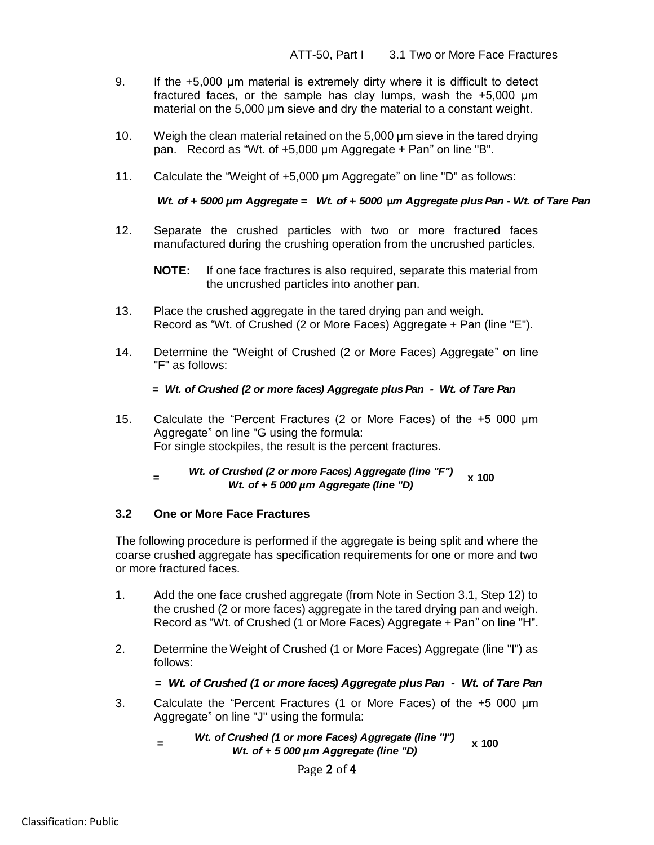- 9. If the +5,000 μm material is extremely dirty where it is difficult to detect fractured faces, or the sample has clay lumps, wash the +5,000 μm material on the 5,000 μm sieve and dry the material to a constant weight.
- 10. Weigh the clean material retained on the 5,000 μm sieve in the tared drying pan. Record as "Wt. of +5,000 μm Aggregate + Pan" on line "B".
- 11. Calculate the "Weight of +5,000 μm Aggregate" on line "D" as follows:

12. Separate the crushed particles with two or more fractured faces manufactured during the crushing operation from the uncrushed particles.

- 13. Place the crushed aggregate in the tared drying pan and weigh. Record as "Wt. of Crushed (2 or More Faces) Aggregate + Pan (line "E").
- 14. Determine the "Weight of Crushed (2 or More Faces) Aggregate" on line "F" as follows:

15. Calculate the "Percent Fractures (2 or More Faces) of the +5 000 μm Aggregate" on line "G using the formula: For single stockpiles, the result is the percent fractures.

*Wt. of Crushed (2 or more Faces) Aggregate (line "F") Wt. of + 5 000 µm Aggregate (line "D)* **x 100**

### **3.2 One or More Face Fractures**

Wt. of + 5000  $\mu$ m Aggregate = Wt. of + 5000  $\mu$ m Aggregate plus Pan - Wt. of Tare Pan<br>
Separate the crushed particles with two or more fractured faces<br>
manufactured during the crushing operation from the uncrushed face The following procedure is performed if the aggregate is being split and where the coarse crushed aggregate has specification requirements for one or more and two or more fractured faces.

- 1. Add the one face crushed aggregate (from Note in Section 3.1, Step 12) to the crushed (2 or more faces) aggregate in the tared drying pan and weigh. Record as "Wt. of Crushed (1 or More Faces) Aggregate + Pan" on line "H".
- 2. Determine the Weight of Crushed (1 or More Faces) Aggregate (line "I") as follows:

### *= Wt. of Crushed (1 or more faces) Aggregate plus Pan - Wt. of Tare Pan*

3. Calculate the "Percent Fractures (1 or More Faces) of the +5 000 μm Aggregate" on line "J" using the formula:

 *=* 

Page 2 of 4

**NOTE:** If one face fractures is also required, separate this material from the uncrushed particles into another pan.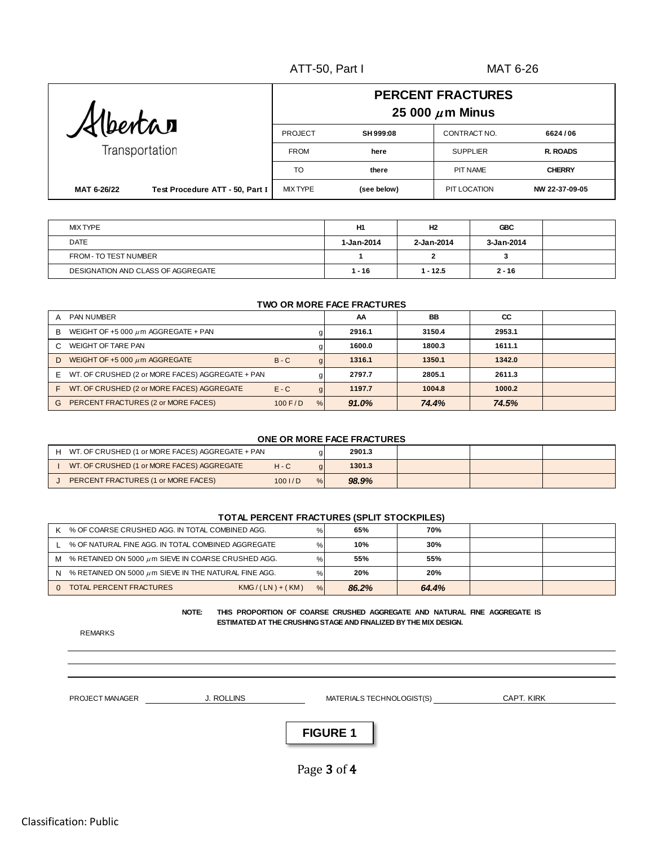|             |                                 | <b>PERCENT FRACTURES</b><br>25 000 $\mu$ m Minus |             |                 |                 |  |  |  |
|-------------|---------------------------------|--------------------------------------------------|-------------|-----------------|-----------------|--|--|--|
| Albertan    |                                 | PROJECT<br>SH 999:08<br>CONTRACT NO.<br>6624/06  |             |                 |                 |  |  |  |
|             | Transportation                  | <b>FROM</b>                                      | here        | <b>SUPPLIER</b> | <b>R. ROADS</b> |  |  |  |
|             |                                 | TO                                               | there       | <b>PIT NAME</b> | <b>CHERRY</b>   |  |  |  |
| MAT 6-26/22 | Test Procedure ATT - 50, Part I | <b>MIX TYPE</b>                                  | (see below) | PIT LOCATION    | NW 22-37-09-05  |  |  |  |

| <b>MIX TYPE</b>                    | H1         | H <sub>2</sub> | <b>GBC</b> |  |
|------------------------------------|------------|----------------|------------|--|
| <b>DATE</b>                        | 1-Jan-2014 | 2-Jan-2014     | 3-Jan-2014 |  |
| FROM - TO TEST NUMBER              |            |                | ٠J         |  |
| DESIGNATION AND CLASS OF AGGREGATE | 1 - 16     | $1 - 12.5$     | $2 - 16$   |  |

#### **TWO OR MORE FACE FRACTURES**

| <b>PAN NUMBER</b><br>A                                 |           |   | AA     | BB     | CC     |  |
|--------------------------------------------------------|-----------|---|--------|--------|--------|--|
| WEIGHT OF +5 000 $\mu$ m AGGREGATE + PAN<br>в          |           |   | 2916.1 | 3150.4 | 2953.1 |  |
| <b>WEIGHT OF TARE PAN</b>                              |           |   | 1600.0 | 1800.3 | 1611.1 |  |
| WEIGHT OF +5 000 $\mu$ m AGGREGATE<br>D.               | $B - C$   |   | 1316.1 | 1350.1 | 1342.0 |  |
| WT. OF CRUSHED (2 or MORE FACES) AGGREGATE + PAN<br>F. |           |   | 2797.7 | 2805.1 | 2611.3 |  |
| WT. OF CRUSHED (2 or MORE FACES) AGGREGATE<br>F        | $E - C$   |   | 1197.7 | 1004.8 | 1000.2 |  |
| PERCENT FRACTURES (2 or MORE FACES)<br>G               | $100$ F/D | % | 91.0%  | 74.4%  | 74.5%  |  |

#### **ONE OR MORE FACE FRACTURES**

| WT. OF CRUSHED (1 or MORE FACES) AGGREGATE + PAN |           |      | 2901.3 |  |  |
|--------------------------------------------------|-----------|------|--------|--|--|
| WT. OF CRUSHED (1 or MORE FACES) AGGREGATE       | $H - C$   |      | 1301.3 |  |  |
| PERCENT FRACTURES (1 or MORE FACES)              | $100$ I/D | $\%$ | 98.9%  |  |  |

#### **TOTAL PERCENT FRACTURES (SPLIT STOCKPILES)**

| ĸ | % OF COARSE CRUSHED AGG. IN TOTAL COMBINED AGG.           | ℅    | 65%   | 70%   |  |
|---|-----------------------------------------------------------|------|-------|-------|--|
|   | % OF NATURAL FINE AGG. IN TOTAL COMBINED AGGREGATE        | ℅    | 10%   | 30%   |  |
| м | % RETAINED ON 5000 $\mu$ m SIEVE IN COARSE CRUSHED AGG.   | ℅    | 55%   | 55%   |  |
| N | % RETAINED ON 5000 $\mu$ m SIEVE IN THE NATURAL FINE AGG. | $\%$ | 20%   | 20%   |  |
|   | TOTAL PERCENT FRACTURES<br>$KMG/(LN) + (KM)$              | %    | 86.2% | 64.4% |  |

 **NOTE: THIS PROPORTION OF COARSE CRUSHED AGGREGATE AND NATURAL FINE AGGREGATE IS ESTIMATED AT THE CRUSHING STAGE AND FINALIZED BY THE MIX DESIGN.**

REMARKS

PROJECT MANAGER
SER
THE MANAGER
SERIES AND MANAGER
USING THE MANAGER
USING THE MANAGER

CAPT. KIRK J. ROLLINS MATERIALS TECHNOLOGIST(S)

**FIGURE 1**

Page 3 of 4